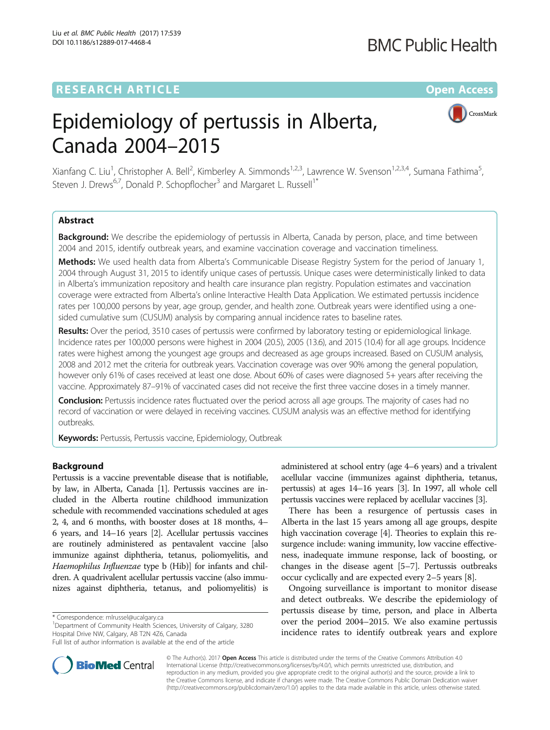## **RESEARCH ARTICLE Example 2014 12:30 The Contract of Contract ACCESS**

## **BMC Public Health**

CrossMark

# Epidemiology of pertussis in Alberta, Canada 2004–2015

Xianfang C. Liu<sup>1</sup>, Christopher A. Bell<sup>2</sup>, Kimberley A. Simmonds<sup>1,2,3</sup>, Lawrence W. Svenson<sup>1,2,3,4</sup>, Sumana Fathima<sup>5</sup> , Steven J. Drews<sup>6,7</sup>, Donald P. Schopflocher<sup>3</sup> and Margaret L. Russell<sup>1</sup><sup>\*</sup>

## Abstract

Background: We describe the epidemiology of pertussis in Alberta, Canada by person, place, and time between 2004 and 2015, identify outbreak years, and examine vaccination coverage and vaccination timeliness.

Methods: We used health data from Alberta's Communicable Disease Registry System for the period of January 1, 2004 through August 31, 2015 to identify unique cases of pertussis. Unique cases were deterministically linked to data in Alberta's immunization repository and health care insurance plan registry. Population estimates and vaccination coverage were extracted from Alberta's online Interactive Health Data Application. We estimated pertussis incidence rates per 100,000 persons by year, age group, gender, and health zone. Outbreak years were identified using a onesided cumulative sum (CUSUM) analysis by comparing annual incidence rates to baseline rates.

Results: Over the period, 3510 cases of pertussis were confirmed by laboratory testing or epidemiological linkage. Incidence rates per 100,000 persons were highest in 2004 (20.5), 2005 (13.6), and 2015 (10.4) for all age groups. Incidence rates were highest among the youngest age groups and decreased as age groups increased. Based on CUSUM analysis, 2008 and 2012 met the criteria for outbreak years. Vaccination coverage was over 90% among the general population, however only 61% of cases received at least one dose. About 60% of cases were diagnosed 5+ years after receiving the vaccine. Approximately 87–91% of vaccinated cases did not receive the first three vaccine doses in a timely manner.

Conclusion: Pertussis incidence rates fluctuated over the period across all age groups. The majority of cases had no record of vaccination or were delayed in receiving vaccines. CUSUM analysis was an effective method for identifying outbreaks.

Keywords: Pertussis, Pertussis vaccine, Epidemiology, Outbreak

### Background

Pertussis is a vaccine preventable disease that is notifiable, by law, in Alberta, Canada [[1\]](#page-7-0). Pertussis vaccines are included in the Alberta routine childhood immunization schedule with recommended vaccinations scheduled at ages 2, 4, and 6 months, with booster doses at 18 months, 4– 6 years, and 14–16 years [[2](#page-7-0)]. Acellular pertussis vaccines are routinely administered as pentavalent vaccine [also immunize against diphtheria, tetanus, poliomyelitis, and Haemophilus Influenzae type b (Hib)] for infants and children. A quadrivalent acellular pertussis vaccine (also immunizes against diphtheria, tetanus, and poliomyelitis) is

\* Correspondence: [mlrussel@ucalgary.ca](mailto:mlrussel@ucalgary.ca) <sup>1</sup>

<sup>1</sup>Department of Community Health Sciences, University of Calgary, 3280 Hospital Drive NW, Calgary, AB T2N 4Z6, Canada



There has been a resurgence of pertussis cases in Alberta in the last 15 years among all age groups, despite high vaccination coverage [\[4\]](#page-7-0). Theories to explain this resurgence include: waning immunity, low vaccine effectiveness, inadequate immune response, lack of boosting, or changes in the disease agent [[5](#page-7-0)–[7](#page-7-0)]. Pertussis outbreaks occur cyclically and are expected every 2–5 years [\[8](#page-7-0)].

Ongoing surveillance is important to monitor disease and detect outbreaks. We describe the epidemiology of pertussis disease by time, person, and place in Alberta over the period 2004–2015. We also examine pertussis incidence rates to identify outbreak years and explore



© The Author(s). 2017 **Open Access** This article is distributed under the terms of the Creative Commons Attribution 4.0 International License [\(http://creativecommons.org/licenses/by/4.0/](http://creativecommons.org/licenses/by/4.0/)), which permits unrestricted use, distribution, and reproduction in any medium, provided you give appropriate credit to the original author(s) and the source, provide a link to the Creative Commons license, and indicate if changes were made. The Creative Commons Public Domain Dedication waiver [\(http://creativecommons.org/publicdomain/zero/1.0/](http://creativecommons.org/publicdomain/zero/1.0/)) applies to the data made available in this article, unless otherwise stated.

Full list of author information is available at the end of the article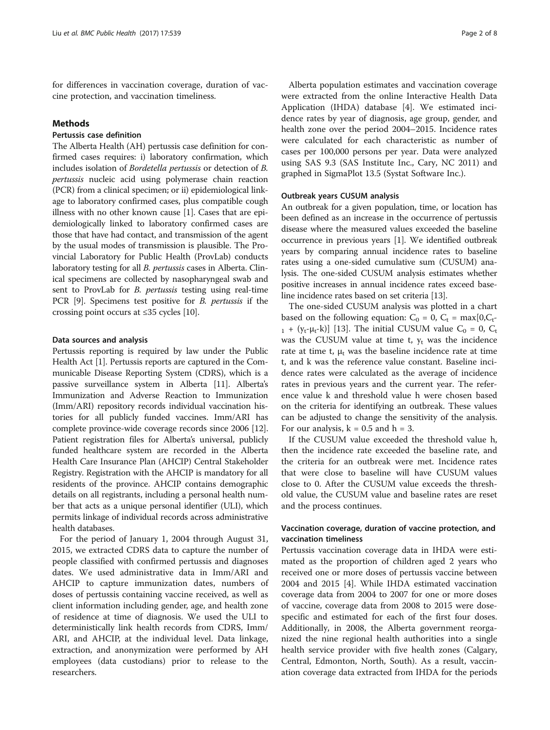for differences in vaccination coverage, duration of vaccine protection, and vaccination timeliness.

#### Methods

## Pertussis case definition

The Alberta Health (AH) pertussis case definition for confirmed cases requires: i) laboratory confirmation, which includes isolation of Bordetella pertussis or detection of B. pertussis nucleic acid using polymerase chain reaction (PCR) from a clinical specimen; or ii) epidemiological linkage to laboratory confirmed cases, plus compatible cough illness with no other known cause [[1\]](#page-7-0). Cases that are epidemiologically linked to laboratory confirmed cases are those that have had contact, and transmission of the agent by the usual modes of transmission is plausible. The Provincial Laboratory for Public Health (ProvLab) conducts laboratory testing for all B. pertussis cases in Alberta. Clinical specimens are collected by nasopharyngeal swab and sent to ProvLab for B. pertussis testing using real-time PCR [[9\]](#page-7-0). Specimens test positive for B. pertussis if the crossing point occurs at ≤35 cycles [\[10\]](#page-7-0).

#### Data sources and analysis

Pertussis reporting is required by law under the Public Health Act [\[1](#page-7-0)]. Pertussis reports are captured in the Communicable Disease Reporting System (CDRS), which is a passive surveillance system in Alberta [\[11](#page-7-0)]. Alberta's Immunization and Adverse Reaction to Immunization (Imm/ARI) repository records individual vaccination histories for all publicly funded vaccines. Imm/ARI has complete province-wide coverage records since 2006 [[12](#page-7-0)]. Patient registration files for Alberta's universal, publicly funded healthcare system are recorded in the Alberta Health Care Insurance Plan (AHCIP) Central Stakeholder Registry. Registration with the AHCIP is mandatory for all residents of the province. AHCIP contains demographic details on all registrants, including a personal health number that acts as a unique personal identifier (ULI), which permits linkage of individual records across administrative health databases.

For the period of January 1, 2004 through August 31, 2015, we extracted CDRS data to capture the number of people classified with confirmed pertussis and diagnoses dates. We used administrative data in Imm/ARI and AHCIP to capture immunization dates, numbers of doses of pertussis containing vaccine received, as well as client information including gender, age, and health zone of residence at time of diagnosis. We used the ULI to deterministically link health records from CDRS, Imm/ ARI, and AHCIP, at the individual level. Data linkage, extraction, and anonymization were performed by AH employees (data custodians) prior to release to the researchers.

Alberta population estimates and vaccination coverage were extracted from the online Interactive Health Data Application (IHDA) database [[4\]](#page-7-0). We estimated incidence rates by year of diagnosis, age group, gender, and health zone over the period 2004–2015. Incidence rates were calculated for each characteristic as number of cases per 100,000 persons per year. Data were analyzed using SAS 9.3 (SAS Institute Inc., Cary, NC 2011) and graphed in SigmaPlot 13.5 (Systat Software Inc.).

#### Outbreak years CUSUM analysis

An outbreak for a given population, time, or location has been defined as an increase in the occurrence of pertussis disease where the measured values exceeded the baseline occurrence in previous years [[1\]](#page-7-0). We identified outbreak years by comparing annual incidence rates to baseline rates using a one-sided cumulative sum (CUSUM) analysis. The one-sided CUSUM analysis estimates whether positive increases in annual incidence rates exceed baseline incidence rates based on set criteria [[13\]](#page-7-0).

The one-sided CUSUM analysis was plotted in a chart based on the following equation:  $C_0 = 0$ ,  $C_t = \max[0, C_t$ - $_1$  + (y<sub>t</sub>- $\mu_t$ -k)] [[13](#page-7-0)]. The initial CUSUM value C<sub>0</sub> = 0, C<sub>t</sub> was the CUSUM value at time t,  $y_t$  was the incidence rate at time t,  $\mu_t$  was the baseline incidence rate at time t, and k was the reference value constant. Baseline incidence rates were calculated as the average of incidence rates in previous years and the current year. The reference value k and threshold value h were chosen based on the criteria for identifying an outbreak. These values can be adjusted to change the sensitivity of the analysis. For our analysis,  $k = 0.5$  and  $h = 3$ .

If the CUSUM value exceeded the threshold value h, then the incidence rate exceeded the baseline rate, and the criteria for an outbreak were met. Incidence rates that were close to baseline will have CUSUM values close to 0. After the CUSUM value exceeds the threshold value, the CUSUM value and baseline rates are reset and the process continues.

## Vaccination coverage, duration of vaccine protection, and vaccination timeliness

Pertussis vaccination coverage data in IHDA were estimated as the proportion of children aged 2 years who received one or more doses of pertussis vaccine between 2004 and 2015 [\[4](#page-7-0)]. While IHDA estimated vaccination coverage data from 2004 to 2007 for one or more doses of vaccine, coverage data from 2008 to 2015 were dosespecific and estimated for each of the first four doses. Additionally, in 2008, the Alberta government reorganized the nine regional health authorities into a single health service provider with five health zones (Calgary, Central, Edmonton, North, South). As a result, vaccination coverage data extracted from IHDA for the periods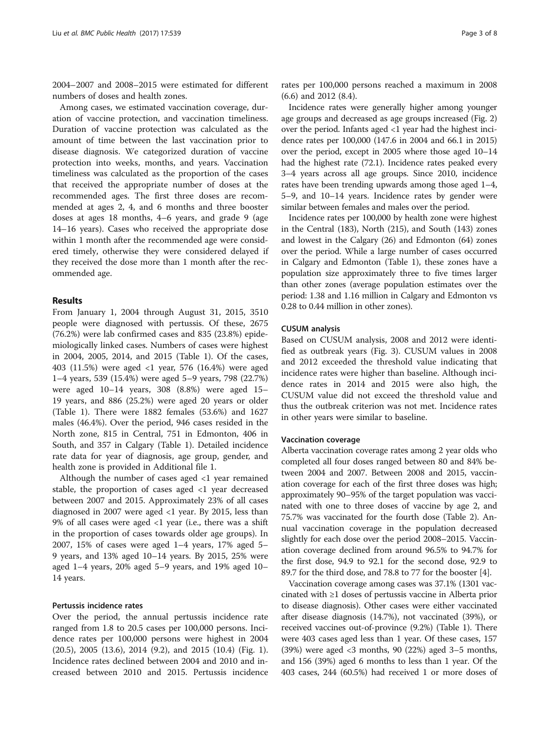2004–2007 and 2008–2015 were estimated for different numbers of doses and health zones.

Among cases, we estimated vaccination coverage, duration of vaccine protection, and vaccination timeliness. Duration of vaccine protection was calculated as the amount of time between the last vaccination prior to disease diagnosis. We categorized duration of vaccine protection into weeks, months, and years. Vaccination timeliness was calculated as the proportion of the cases that received the appropriate number of doses at the recommended ages. The first three doses are recommended at ages 2, 4, and 6 months and three booster doses at ages 18 months, 4–6 years, and grade 9 (age 14–16 years). Cases who received the appropriate dose within 1 month after the recommended age were considered timely, otherwise they were considered delayed if they received the dose more than 1 month after the recommended age.

#### Results

From January 1, 2004 through August 31, 2015, 3510 people were diagnosed with pertussis. Of these, 2675 (76.2%) were lab confirmed cases and 835 (23.8%) epidemiologically linked cases. Numbers of cases were highest in 2004, 2005, 2014, and 2015 (Table [1](#page-3-0)). Of the cases, 403 (11.5%) were aged <1 year, 576 (16.4%) were aged 1–4 years, 539 (15.4%) were aged 5–9 years, 798 (22.7%) were aged 10–14 years, 308 (8.8%) were aged 15– 19 years, and 886 (25.2%) were aged 20 years or older (Table [1\)](#page-3-0). There were 1882 females (53.6%) and 1627 males (46.4%). Over the period, 946 cases resided in the North zone, 815 in Central, 751 in Edmonton, 406 in South, and 357 in Calgary (Table [1\)](#page-3-0). Detailed incidence rate data for year of diagnosis, age group, gender, and health zone is provided in Additional file [1](#page-6-0).

Although the number of cases aged <1 year remained stable, the proportion of cases aged <1 year decreased between 2007 and 2015. Approximately 23% of all cases diagnosed in 2007 were aged <1 year. By 2015, less than 9% of all cases were aged <1 year (i.e., there was a shift in the proportion of cases towards older age groups). In 2007, 15% of cases were aged 1–4 years, 17% aged 5– 9 years, and 13% aged 10–14 years. By 2015, 25% were aged 1–4 years, 20% aged 5–9 years, and 19% aged 10– 14 years.

#### Pertussis incidence rates

Over the period, the annual pertussis incidence rate ranged from 1.8 to 20.5 cases per 100,000 persons. Incidence rates per 100,000 persons were highest in 2004 (20.5), 2005 (13.6), 2014 (9.2), and 2015 (10.4) (Fig. [1](#page-4-0)). Incidence rates declined between 2004 and 2010 and increased between 2010 and 2015. Pertussis incidence rates per 100,000 persons reached a maximum in 2008 (6.6) and 2012 (8.4).

Incidence rates were generally higher among younger age groups and decreased as age groups increased (Fig. [2](#page-4-0)) over the period. Infants aged <1 year had the highest incidence rates per 100,000 (147.6 in 2004 and 66.1 in 2015) over the period, except in 2005 where those aged 10–14 had the highest rate (72.1). Incidence rates peaked every 3–4 years across all age groups. Since 2010, incidence rates have been trending upwards among those aged 1–4, 5–9, and 10–14 years. Incidence rates by gender were similar between females and males over the period.

Incidence rates per 100,000 by health zone were highest in the Central (183), North (215), and South (143) zones and lowest in the Calgary (26) and Edmonton (64) zones over the period. While a large number of cases occurred in Calgary and Edmonton (Table [1\)](#page-3-0), these zones have a population size approximately three to five times larger than other zones (average population estimates over the period: 1.38 and 1.16 million in Calgary and Edmonton vs 0.28 to 0.44 million in other zones).

#### CUSUM analysis

Based on CUSUM analysis, 2008 and 2012 were identified as outbreak years (Fig. [3\)](#page-5-0). CUSUM values in 2008 and 2012 exceeded the threshold value indicating that incidence rates were higher than baseline. Although incidence rates in 2014 and 2015 were also high, the CUSUM value did not exceed the threshold value and thus the outbreak criterion was not met. Incidence rates in other years were similar to baseline.

#### Vaccination coverage

Alberta vaccination coverage rates among 2 year olds who completed all four doses ranged between 80 and 84% between 2004 and 2007. Between 2008 and 2015, vaccination coverage for each of the first three doses was high; approximately 90–95% of the target population was vaccinated with one to three doses of vaccine by age 2, and 75.7% was vaccinated for the fourth dose (Table [2\)](#page-5-0). Annual vaccination coverage in the population decreased slightly for each dose over the period 2008–2015. Vaccination coverage declined from around 96.5% to 94.7% for the first dose, 94.9 to 92.1 for the second dose, 92.9 to 89.7 for the third dose, and 78.8 to 77 for the booster [[4](#page-7-0)].

Vaccination coverage among cases was 37.1% (1301 vaccinated with ≥1 doses of pertussis vaccine in Alberta prior to disease diagnosis). Other cases were either vaccinated after disease diagnosis (14.7%), not vaccinated (39%), or received vaccines out-of-province (9.2%) (Table [1\)](#page-3-0). There were 403 cases aged less than 1 year. Of these cases, 157 (39%) were aged <3 months, 90 (22%) aged 3–5 months, and 156 (39%) aged 6 months to less than 1 year. Of the 403 cases, 244 (60.5%) had received 1 or more doses of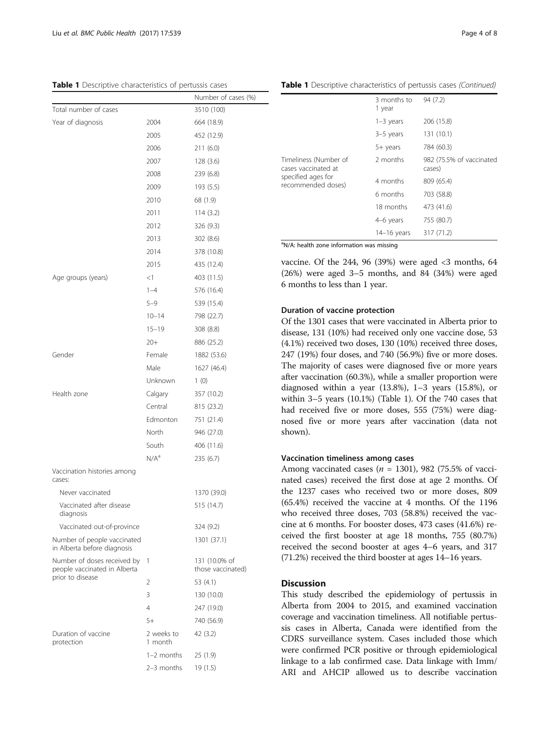<span id="page-3-0"></span>Table 1 Descriptive characteristics of pertussis cases

|                                                             |                       | Number of cases (%)                |
|-------------------------------------------------------------|-----------------------|------------------------------------|
| Total number of cases                                       |                       | 3510 (100)                         |
| Year of diagnosis                                           | 2004                  | 664 (18.9)                         |
|                                                             | 2005                  | 452 (12.9)                         |
|                                                             | 2006                  | 211(6.0)                           |
|                                                             | 2007                  | 128 (3.6)                          |
|                                                             | 2008                  | 239 (6.8)                          |
|                                                             | 2009                  | 193 (5.5)                          |
|                                                             | 2010                  | 68 (1.9)                           |
|                                                             | 2011                  | 114(3.2)                           |
|                                                             | 2012                  | 326 (9.3)                          |
|                                                             | 2013                  | 302 (8.6)                          |
|                                                             | 2014                  | 378 (10.8)                         |
|                                                             | 2015                  | 435 (12.4)                         |
| Age groups (years)                                          | $<$ 1                 | 403 (11.5)                         |
|                                                             | $1 - 4$               | 576 (16.4)                         |
|                                                             | $5 - 9$               | 539 (15.4)                         |
|                                                             | $10 - 14$             | 798 (22.7)                         |
|                                                             | $15 - 19$             | 308 (8.8)                          |
|                                                             | $20+$                 | 886 (25.2)                         |
| Gender                                                      | Female                | 1882 (53.6)                        |
|                                                             | Male                  | 1627 (46.4)                        |
|                                                             | Unknown               | 1(0)                               |
| Health zone                                                 | Calgary               | 357 (10.2)                         |
|                                                             | Central               | 815 (23.2)                         |
|                                                             | Edmonton              | 751 (21.4)                         |
|                                                             | North                 | 946 (27.0)                         |
|                                                             | South                 | 406 (11.6)                         |
|                                                             | N/A <sup>a</sup>      | 235(6.7)                           |
| Vaccination histories among<br>cases:                       |                       |                                    |
| Never vaccinated                                            |                       | 1370 (39.0)                        |
| Vaccinated after disease<br>diagnosis                       |                       | 515 (14.7)                         |
| Vaccinated out-of-province                                  |                       | 324 (9.2)                          |
| Number of people vaccinated<br>in Alberta before diagnosis  |                       | 1301 (37.1)                        |
| Number of doses received by<br>people vaccinated in Alberta | 1                     | 131 (10.0% of<br>those vaccinated) |
| prior to disease                                            | 2                     | 53 (4.1)                           |
|                                                             | 3                     | 130 (10.0)                         |
|                                                             | 4                     | 247 (19.0)                         |
|                                                             | $5+$                  | 740 (56.9)                         |
| Duration of vaccine<br>protection                           | 2 weeks to<br>1 month | 42 (3.2)                           |
|                                                             | $1-2$ months          | 25(1.9)                            |
|                                                             | 2-3 months            | 19 (1.5)                           |

Table 1 Descriptive characteristics of pertussis cases (Continued)

|                                                                                          | 3 months to<br>1 year | 94 (7.2)                           |
|------------------------------------------------------------------------------------------|-----------------------|------------------------------------|
|                                                                                          | $1-3$ years           | 206 (15.8)                         |
|                                                                                          | $3-5$ years           | 131 (10.1)                         |
|                                                                                          | 5+ years              | 784 (60.3)                         |
| Timeliness (Number of<br>cases vaccinated at<br>specified ages for<br>recommended doses) | 2 months              | 982 (75.5% of vaccinated<br>cases) |
|                                                                                          | 4 months              | 809 (65.4)                         |
|                                                                                          | 6 months              | 703 (58.8)                         |
|                                                                                          | 18 months             | 473 (41.6)                         |
|                                                                                          | 4-6 years             | 755 (80.7)                         |
|                                                                                          | $14-16$ years         | 317 (71.2)                         |

<sup>a</sup>N/A: health zone information was missing

vaccine. Of the 244, 96 (39%) were aged  $<$ 3 months, 64 (26%) were aged 3–5 months, and 84 (34%) were aged 6 months to less than 1 year.

#### Duration of vaccine protection

Of the 1301 cases that were vaccinated in Alberta prior to disease, 131 (10%) had received only one vaccine dose, 53 (4.1%) received two doses, 130 (10%) received three doses, 247 (19%) four doses, and 740 (56.9%) five or more doses. The majority of cases were diagnosed five or more years after vaccination (60.3%), while a smaller proportion were diagnosed within a year (13.8%), 1–3 years (15.8%), or within 3–5 years (10.1%) (Table 1). Of the 740 cases that had received five or more doses, 555 (75%) were diagnosed five or more years after vaccination (data not shown).

## Vaccination timeliness among cases

Among vaccinated cases ( $n = 1301$ ), 982 (75.5% of vaccinated cases) received the first dose at age 2 months. Of the 1237 cases who received two or more doses, 809 (65.4%) received the vaccine at 4 months. Of the 1196 who received three doses, 703 (58.8%) received the vaccine at 6 months. For booster doses, 473 cases (41.6%) received the first booster at age 18 months, 755 (80.7%) received the second booster at ages 4–6 years, and 317 (71.2%) received the third booster at ages 14–16 years.

#### **Discussion**

This study described the epidemiology of pertussis in Alberta from 2004 to 2015, and examined vaccination coverage and vaccination timeliness. All notifiable pertussis cases in Alberta, Canada were identified from the CDRS surveillance system. Cases included those which were confirmed PCR positive or through epidemiological linkage to a lab confirmed case. Data linkage with Imm/ ARI and AHCIP allowed us to describe vaccination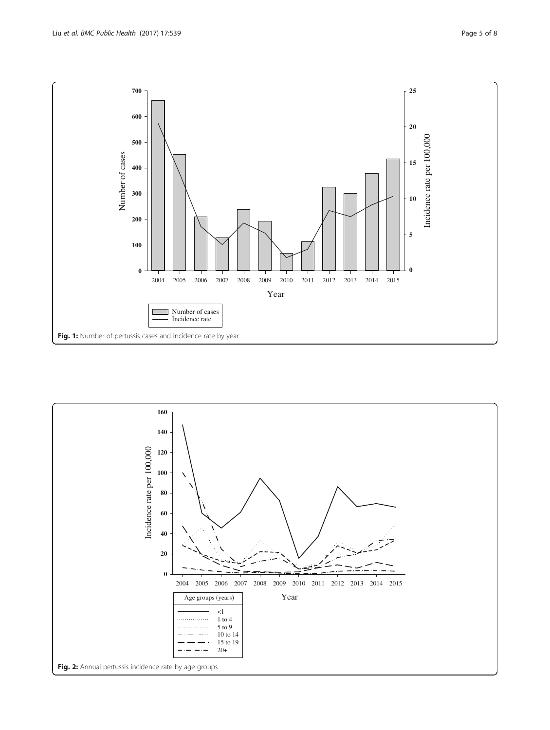<span id="page-4-0"></span>

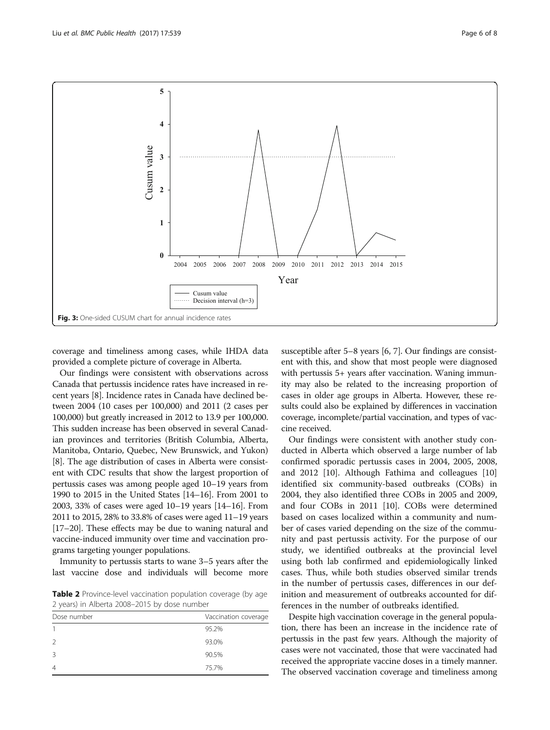<span id="page-5-0"></span>

coverage and timeliness among cases, while IHDA data provided a complete picture of coverage in Alberta.

Our findings were consistent with observations across Canada that pertussis incidence rates have increased in recent years [\[8](#page-7-0)]. Incidence rates in Canada have declined between 2004 (10 cases per 100,000) and 2011 (2 cases per 100,000) but greatly increased in 2012 to 13.9 per 100,000. This sudden increase has been observed in several Canadian provinces and territories (British Columbia, Alberta, Manitoba, Ontario, Quebec, New Brunswick, and Yukon) [[8\]](#page-7-0). The age distribution of cases in Alberta were consistent with CDC results that show the largest proportion of pertussis cases was among people aged 10–19 years from 1990 to 2015 in the United States [\[14](#page-7-0)–[16](#page-7-0)]. From 2001 to 2003, 33% of cases were aged 10–19 years [\[14](#page-7-0)–[16](#page-7-0)]. From 2011 to 2015, 28% to 33.8% of cases were aged 11–19 years [[17](#page-7-0)–[20\]](#page-7-0). These effects may be due to waning natural and vaccine-induced immunity over time and vaccination programs targeting younger populations.

Immunity to pertussis starts to wane 3–5 years after the last vaccine dose and individuals will become more

Table 2 Province-level vaccination population coverage (by age 2 years) in Alberta 2008–2015 by dose number

| Dose number | Vaccination coverage |
|-------------|----------------------|
|             | 95.2%                |
| 2           | 93.0%                |
| 3           | 90.5%                |
| 4           | 75.7%                |

susceptible after 5–8 years [\[6](#page-7-0), [7\]](#page-7-0). Our findings are consistent with this, and show that most people were diagnosed with pertussis 5+ years after vaccination. Waning immunity may also be related to the increasing proportion of cases in older age groups in Alberta. However, these results could also be explained by differences in vaccination coverage, incomplete/partial vaccination, and types of vaccine received.

Our findings were consistent with another study conducted in Alberta which observed a large number of lab confirmed sporadic pertussis cases in 2004, 2005, 2008, and 2012 [\[10\]](#page-7-0). Although Fathima and colleagues [[10](#page-7-0)] identified six community-based outbreaks (COBs) in 2004, they also identified three COBs in 2005 and 2009, and four COBs in 2011 [[10\]](#page-7-0). COBs were determined based on cases localized within a community and number of cases varied depending on the size of the community and past pertussis activity. For the purpose of our study, we identified outbreaks at the provincial level using both lab confirmed and epidemiologically linked cases. Thus, while both studies observed similar trends in the number of pertussis cases, differences in our definition and measurement of outbreaks accounted for differences in the number of outbreaks identified.

Despite high vaccination coverage in the general population, there has been an increase in the incidence rate of pertussis in the past few years. Although the majority of cases were not vaccinated, those that were vaccinated had received the appropriate vaccine doses in a timely manner. The observed vaccination coverage and timeliness among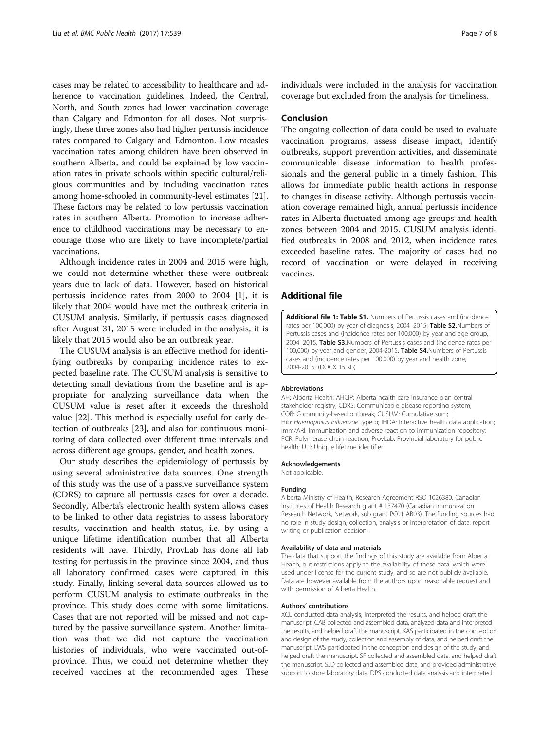<span id="page-6-0"></span>cases may be related to accessibility to healthcare and adherence to vaccination guidelines. Indeed, the Central, North, and South zones had lower vaccination coverage than Calgary and Edmonton for all doses. Not surprisingly, these three zones also had higher pertussis incidence rates compared to Calgary and Edmonton. Low measles vaccination rates among children have been observed in southern Alberta, and could be explained by low vaccination rates in private schools within specific cultural/religious communities and by including vaccination rates among home-schooled in community-level estimates [[21](#page-7-0)]. These factors may be related to low pertussis vaccination rates in southern Alberta. Promotion to increase adherence to childhood vaccinations may be necessary to encourage those who are likely to have incomplete/partial vaccinations.

Although incidence rates in 2004 and 2015 were high, we could not determine whether these were outbreak years due to lack of data. However, based on historical pertussis incidence rates from 2000 to 2004 [[1\]](#page-7-0), it is likely that 2004 would have met the outbreak criteria in CUSUM analysis. Similarly, if pertussis cases diagnosed after August 31, 2015 were included in the analysis, it is likely that 2015 would also be an outbreak year.

The CUSUM analysis is an effective method for identifying outbreaks by comparing incidence rates to expected baseline rate. The CUSUM analysis is sensitive to detecting small deviations from the baseline and is appropriate for analyzing surveillance data when the CUSUM value is reset after it exceeds the threshold value [[22](#page-7-0)]. This method is especially useful for early detection of outbreaks [[23\]](#page-7-0), and also for continuous monitoring of data collected over different time intervals and across different age groups, gender, and health zones.

Our study describes the epidemiology of pertussis by using several administrative data sources. One strength of this study was the use of a passive surveillance system (CDRS) to capture all pertussis cases for over a decade. Secondly, Alberta's electronic health system allows cases to be linked to other data registries to assess laboratory results, vaccination and health status, i.e. by using a unique lifetime identification number that all Alberta residents will have. Thirdly, ProvLab has done all lab testing for pertussis in the province since 2004, and thus all laboratory confirmed cases were captured in this study. Finally, linking several data sources allowed us to perform CUSUM analysis to estimate outbreaks in the province. This study does come with some limitations. Cases that are not reported will be missed and not captured by the passive surveillance system. Another limitation was that we did not capture the vaccination histories of individuals, who were vaccinated out-ofprovince. Thus, we could not determine whether they received vaccines at the recommended ages. These

individuals were included in the analysis for vaccination coverage but excluded from the analysis for timeliness.

#### Conclusion

The ongoing collection of data could be used to evaluate vaccination programs, assess disease impact, identify outbreaks, support prevention activities, and disseminate communicable disease information to health professionals and the general public in a timely fashion. This allows for immediate public health actions in response to changes in disease activity. Although pertussis vaccination coverage remained high, annual pertussis incidence rates in Alberta fluctuated among age groups and health zones between 2004 and 2015. CUSUM analysis identified outbreaks in 2008 and 2012, when incidence rates exceeded baseline rates. The majority of cases had no record of vaccination or were delayed in receiving vaccines.

#### Additional file

[Additional file 1: Table S1.](dx.doi.org/10.1186/s12889-017-4468-4) Numbers of Pertussis cases and (incidence rates per 100,000) by year of diagnosis, 2004-2015. Table S2.Numbers of Pertussis cases and (incidence rates per 100,000) by year and age group, 2004–2015. Table S3.Numbers of Pertussis cases and (incidence rates per 100,000) by year and gender, 2004-2015. Table S4.Numbers of Pertussis cases and (incidence rates per 100,000) by year and health zone, 2004-2015. (DOCX 15 kb)

#### Abbreviations

AH: Alberta Health; AHCIP: Alberta health care insurance plan central stakeholder registry; CDRS: Communicable disease reporting system; COB: Community-based outbreak; CUSUM: Cumulative sum; Hib: Haemophilus Influenzae type b; IHDA: Interactive health data application; Imm/ARI: Immunization and adverse reaction to immunization repository; PCR: Polymerase chain reaction; ProvLab: Provincial laboratory for public health; ULI: Unique lifetime identifier

#### Acknowledgements

Not applicable.

#### Funding

Alberta Ministry of Health, Research Agreement RSO 1026380. Canadian Institutes of Health Research grant # 137470 (Canadian Immunization Research Network, Network, sub grant PC01 AB03). The funding sources had no role in study design, collection, analysis or interpretation of data, report writing or publication decision.

#### Availability of data and materials

The data that support the findings of this study are available from Alberta Health, but restrictions apply to the availability of these data, which were used under license for the current study, and so are not publicly available. Data are however available from the authors upon reasonable request and with permission of Alberta Health.

#### Authors' contributions

XCL conducted data analysis, interpreted the results, and helped draft the manuscript. CAB collected and assembled data, analyzed data and interpreted the results, and helped draft the manuscript. KAS participated in the conception and design of the study, collection and assembly of data, and helped draft the manuscript. LWS participated in the conception and design of the study, and helped draft the manuscript. SF collected and assembled data, and helped draft the manuscript. SJD collected and assembled data, and provided administrative support to store laboratory data. DPS conducted data analysis and interpreted